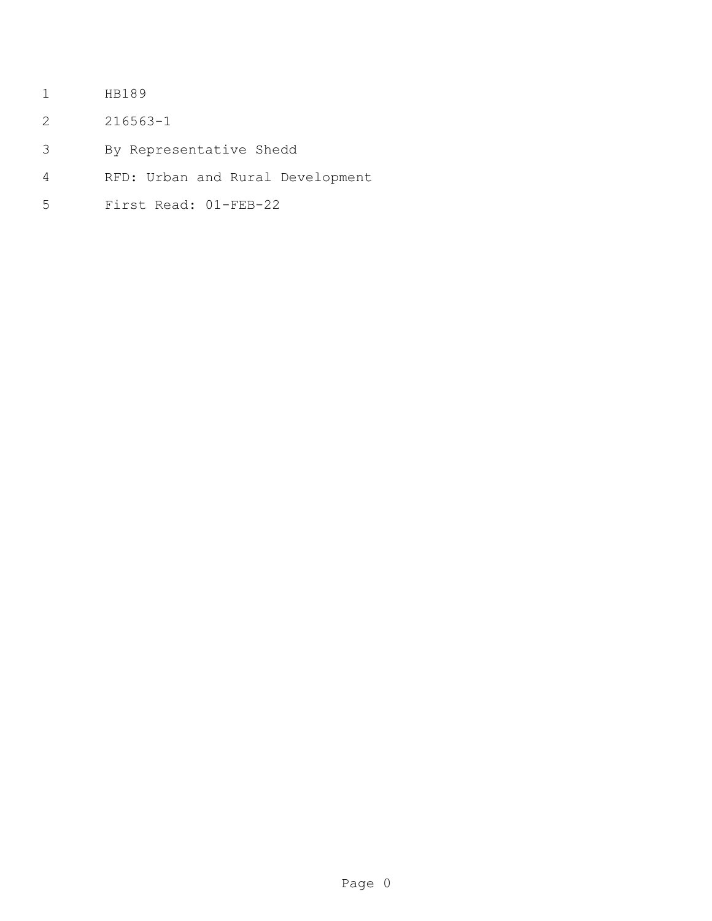- HB189
- 216563-1
- By Representative Shedd
- RFD: Urban and Rural Development
- First Read: 01-FEB-22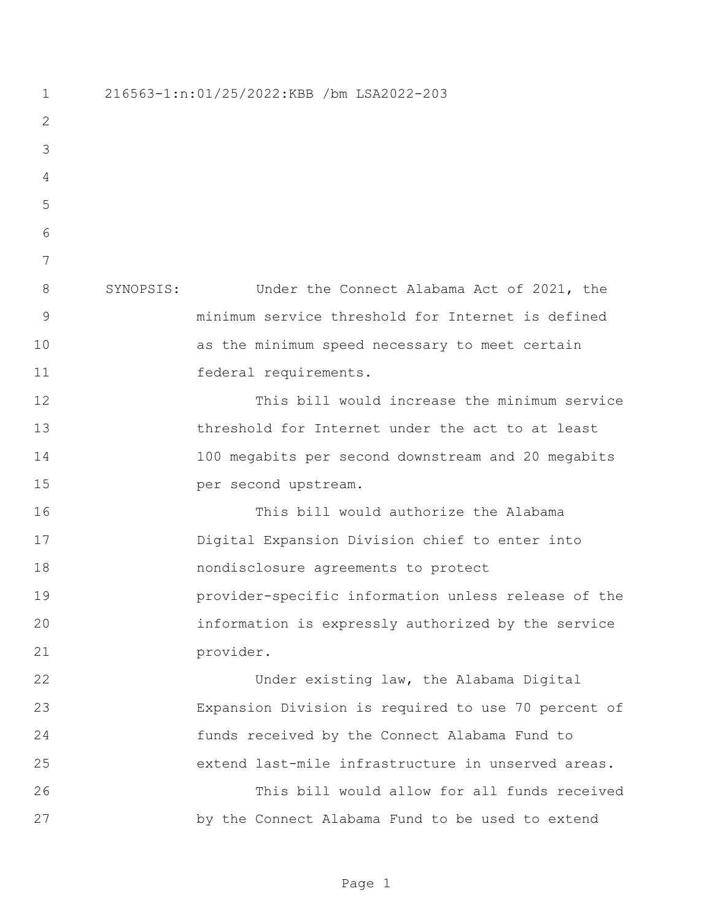216563-1:n:01/25/2022:KBB /bm LSA2022-203 SYNOPSIS: Under the Connect Alabama Act of 2021, the minimum service threshold for Internet is defined as the minimum speed necessary to meet certain 11 federal requirements. This bill would increase the minimum service threshold for Internet under the act to at least 100 megabits per second downstream and 20 megabits per second upstream. This bill would authorize the Alabama Digital Expansion Division chief to enter into nondisclosure agreements to protect provider-specific information unless release of the information is expressly authorized by the service provider. Under existing law, the Alabama Digital Expansion Division is required to use 70 percent of funds received by the Connect Alabama Fund to extend last-mile infrastructure in unserved areas. This bill would allow for all funds received by the Connect Alabama Fund to be used to extend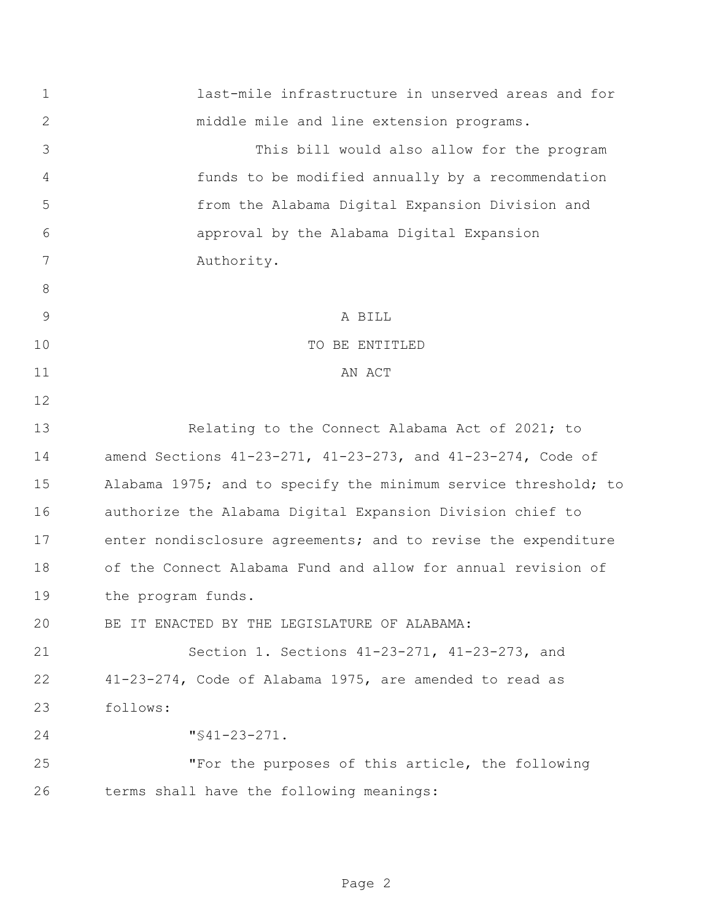| $\mathbf 1$    | last-mile infrastructure in unserved areas and for             |
|----------------|----------------------------------------------------------------|
| $\mathbf{2}$   | middle mile and line extension programs.                       |
| 3              | This bill would also allow for the program                     |
| $\overline{4}$ | funds to be modified annually by a recommendation              |
| 5              | from the Alabama Digital Expansion Division and                |
| 6              | approval by the Alabama Digital Expansion                      |
| 7              | Authority.                                                     |
| $8\,$          |                                                                |
| 9              | A BILL                                                         |
| 10             | TO BE ENTITLED                                                 |
| 11             | AN ACT                                                         |
| 12             |                                                                |
| 13             | Relating to the Connect Alabama Act of 2021; to                |
| 14             | amend Sections 41-23-271, 41-23-273, and 41-23-274, Code of    |
| 15             | Alabama 1975; and to specify the minimum service threshold; to |
| 16             | authorize the Alabama Digital Expansion Division chief to      |
| 17             | enter nondisclosure agreements; and to revise the expenditure  |
| 18             | of the Connect Alabama Fund and allow for annual revision of   |
| 19             | the program funds.                                             |
| 20             | BE IT ENACTED BY THE LEGISLATURE OF ALABAMA:                   |
| 21             | Section 1. Sections 41-23-271, 41-23-273, and                  |
| 22             | 41-23-274, Code of Alabama 1975, are amended to read as        |
| 23             | follows:                                                       |
| 24             | $"$ \$41-23-271.                                               |
| 25             | "For the purposes of this article, the following               |
| 26             | terms shall have the following meanings:                       |
|                |                                                                |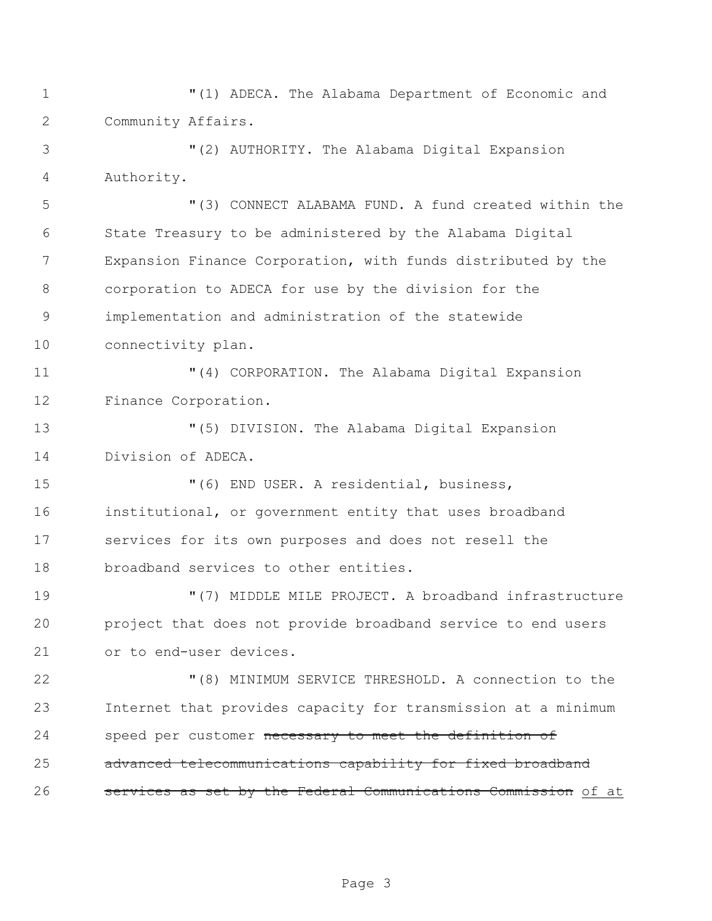"(1) ADECA. The Alabama Department of Economic and Community Affairs.

 "(2) AUTHORITY. The Alabama Digital Expansion Authority.

 "(3) CONNECT ALABAMA FUND. A fund created within the State Treasury to be administered by the Alabama Digital Expansion Finance Corporation, with funds distributed by the corporation to ADECA for use by the division for the implementation and administration of the statewide connectivity plan.

 "(4) CORPORATION. The Alabama Digital Expansion Finance Corporation.

 "(5) DIVISION. The Alabama Digital Expansion Division of ADECA.

 "(6) END USER. A residential, business, institutional, or government entity that uses broadband services for its own purposes and does not resell the broadband services to other entities.

 "(7) MIDDLE MILE PROJECT. A broadband infrastructure project that does not provide broadband service to end users or to end-user devices.

 "(8) MINIMUM SERVICE THRESHOLD. A connection to the Internet that provides capacity for transmission at a minimum 24 speed per customer necessary to meet the definition of advanced telecommunications capability for fixed broadband 26 services as set by the Federal Communications Commission of at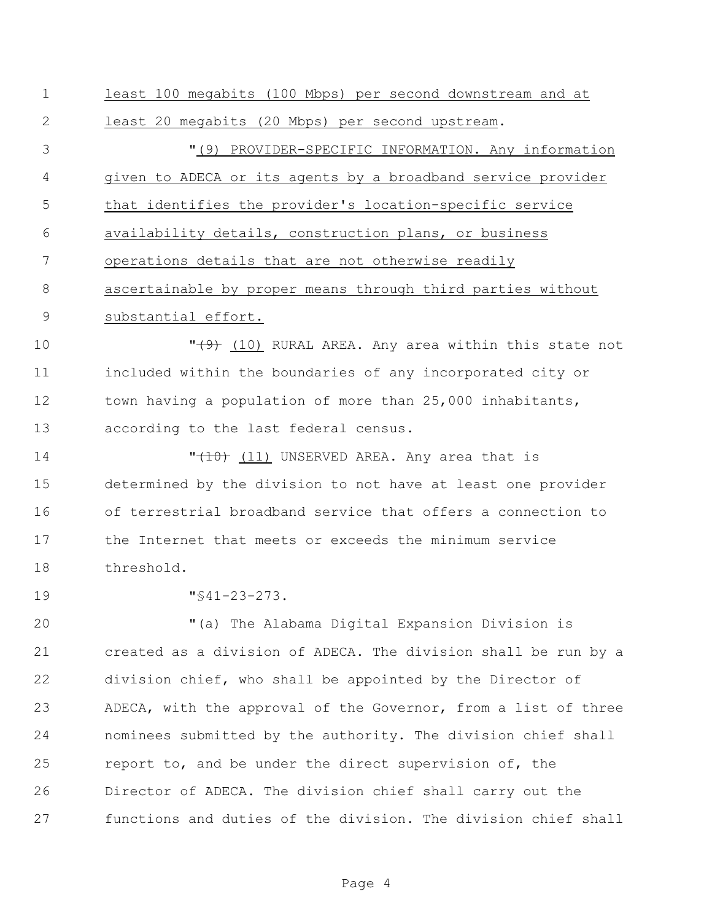- least 100 megabits (100 Mbps) per second downstream and at least 20 megabits (20 Mbps) per second upstream. "(9) PROVIDER-SPECIFIC INFORMATION. Any information given to ADECA or its agents by a broadband service provider that identifies the provider's location-specific service availability details, construction plans, or business operations details that are not otherwise readily ascertainable by proper means through third parties without substantial effort.
- 10  $\sqrt{9}$  (10) RURAL AREA. Any area within this state not included within the boundaries of any incorporated city or 12 town having a population of more than 25,000 inhabitants, according to the last federal census.

**T** (10) UNSERVED AREA. Any area that is determined by the division to not have at least one provider of terrestrial broadband service that offers a connection to the Internet that meets or exceeds the minimum service threshold.

"§41-23-273.

 "(a) The Alabama Digital Expansion Division is created as a division of ADECA. The division shall be run by a division chief, who shall be appointed by the Director of ADECA, with the approval of the Governor, from a list of three nominees submitted by the authority. The division chief shall report to, and be under the direct supervision of, the Director of ADECA. The division chief shall carry out the functions and duties of the division. The division chief shall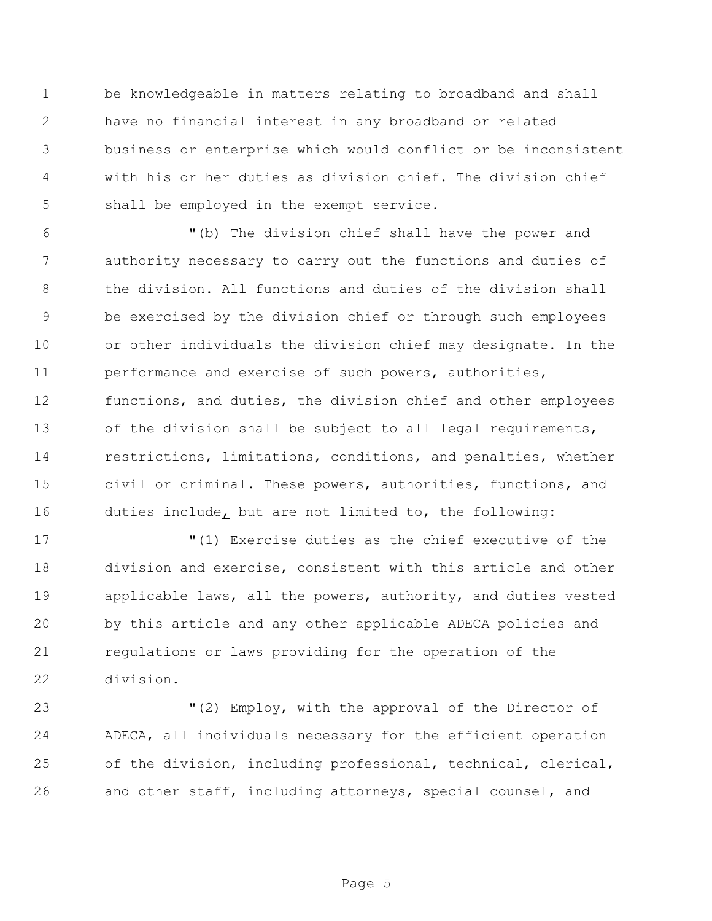be knowledgeable in matters relating to broadband and shall have no financial interest in any broadband or related business or enterprise which would conflict or be inconsistent with his or her duties as division chief. The division chief shall be employed in the exempt service.

 "(b) The division chief shall have the power and authority necessary to carry out the functions and duties of the division. All functions and duties of the division shall be exercised by the division chief or through such employees or other individuals the division chief may designate. In the performance and exercise of such powers, authorities, functions, and duties, the division chief and other employees 13 of the division shall be subject to all legal requirements, restrictions, limitations, conditions, and penalties, whether civil or criminal. These powers, authorities, functions, and duties include, but are not limited to, the following:

 "(1) Exercise duties as the chief executive of the division and exercise, consistent with this article and other 19 applicable laws, all the powers, authority, and duties vested by this article and any other applicable ADECA policies and regulations or laws providing for the operation of the division.

 "(2) Employ, with the approval of the Director of ADECA, all individuals necessary for the efficient operation of the division, including professional, technical, clerical, and other staff, including attorneys, special counsel, and

Page 5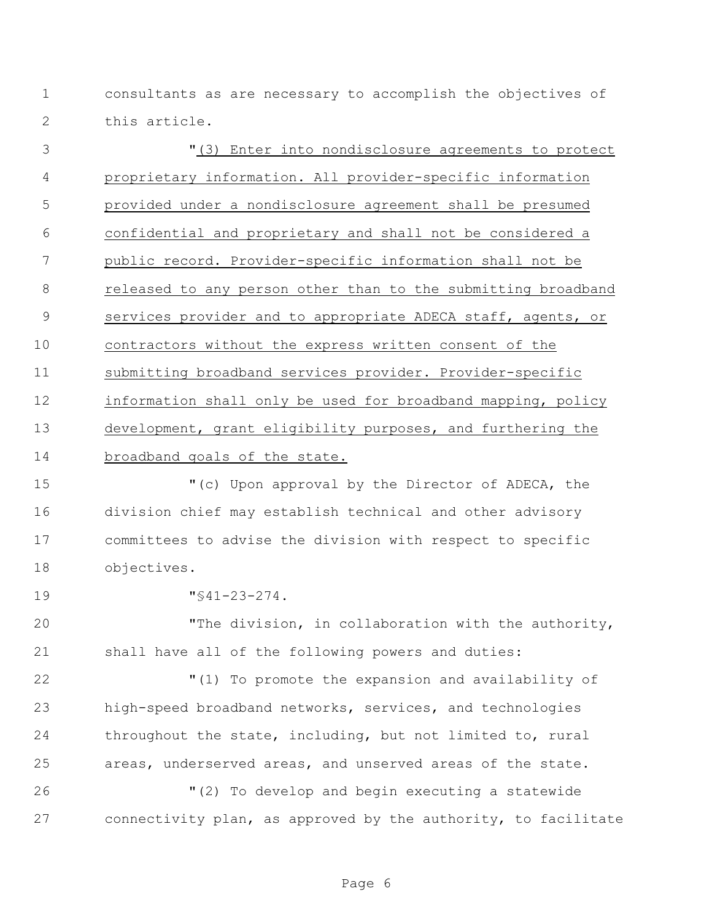consultants as are necessary to accomplish the objectives of this article.

 "(3) Enter into nondisclosure agreements to protect proprietary information. All provider-specific information provided under a nondisclosure agreement shall be presumed confidential and proprietary and shall not be considered a public record. Provider-specific information shall not be released to any person other than to the submitting broadband services provider and to appropriate ADECA staff, agents, or contractors without the express written consent of the submitting broadband services provider. Provider-specific information shall only be used for broadband mapping, policy development, grant eligibility purposes, and furthering the broadband goals of the state.

 "(c) Upon approval by the Director of ADECA, the division chief may establish technical and other advisory committees to advise the division with respect to specific objectives.

"§41-23-274.

 "The division, in collaboration with the authority, shall have all of the following powers and duties:

 "(1) To promote the expansion and availability of high-speed broadband networks, services, and technologies throughout the state, including, but not limited to, rural areas, underserved areas, and unserved areas of the state.

 "(2) To develop and begin executing a statewide connectivity plan, as approved by the authority, to facilitate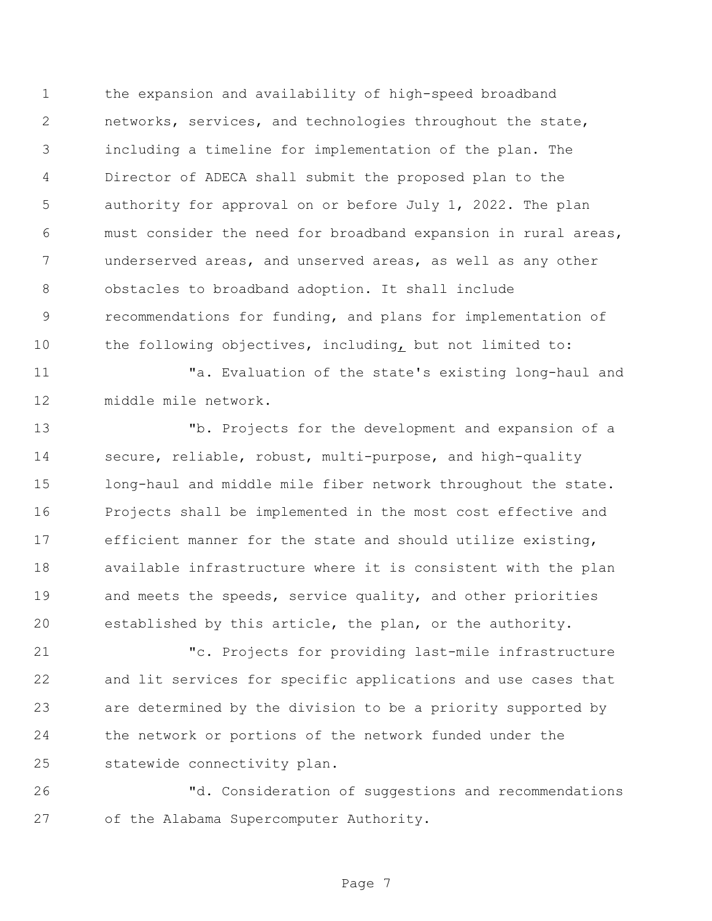the expansion and availability of high-speed broadband networks, services, and technologies throughout the state, including a timeline for implementation of the plan. The Director of ADECA shall submit the proposed plan to the authority for approval on or before July 1, 2022. The plan must consider the need for broadband expansion in rural areas, underserved areas, and unserved areas, as well as any other obstacles to broadband adoption. It shall include recommendations for funding, and plans for implementation of the following objectives, including, but not limited to:

 "a. Evaluation of the state's existing long-haul and middle mile network.

 "b. Projects for the development and expansion of a secure, reliable, robust, multi-purpose, and high-quality long-haul and middle mile fiber network throughout the state. Projects shall be implemented in the most cost effective and efficient manner for the state and should utilize existing, available infrastructure where it is consistent with the plan 19 and meets the speeds, service quality, and other priorities established by this article, the plan, or the authority.

 "c. Projects for providing last-mile infrastructure and lit services for specific applications and use cases that are determined by the division to be a priority supported by the network or portions of the network funded under the statewide connectivity plan.

 "d. Consideration of suggestions and recommendations of the Alabama Supercomputer Authority.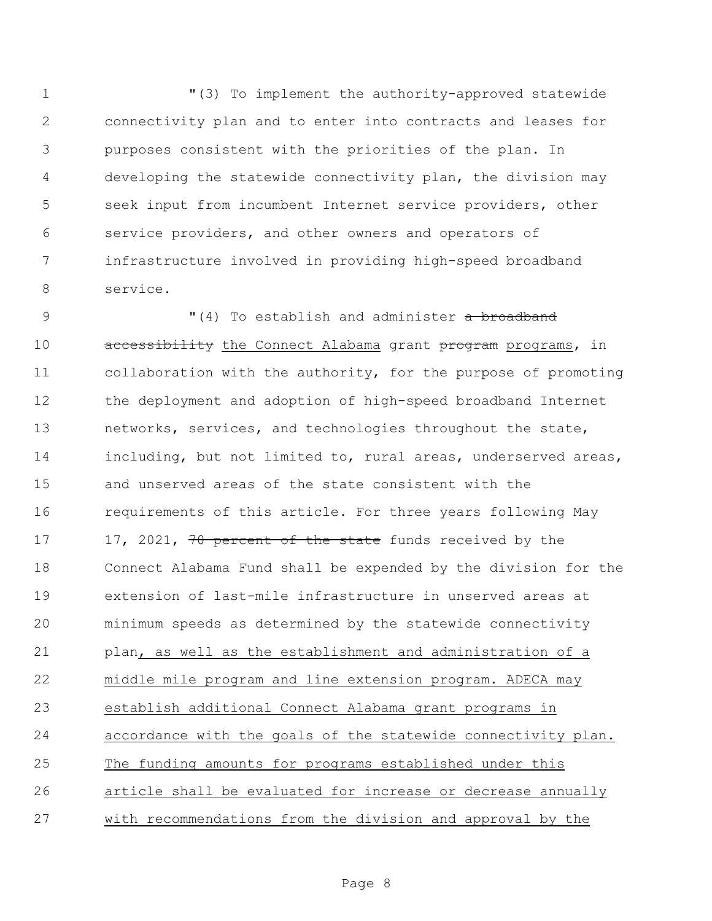"(3) To implement the authority-approved statewide connectivity plan and to enter into contracts and leases for purposes consistent with the priorities of the plan. In developing the statewide connectivity plan, the division may seek input from incumbent Internet service providers, other service providers, and other owners and operators of infrastructure involved in providing high-speed broadband service.

9 The stablish and administer a broadband 10 accessibility the Connect Alabama grant program programs, in collaboration with the authority, for the purpose of promoting the deployment and adoption of high-speed broadband Internet networks, services, and technologies throughout the state, including, but not limited to, rural areas, underserved areas, and unserved areas of the state consistent with the requirements of this article. For three years following May 17 17, 2021, 70 percent of the state funds received by the Connect Alabama Fund shall be expended by the division for the extension of last-mile infrastructure in unserved areas at minimum speeds as determined by the statewide connectivity plan, as well as the establishment and administration of a middle mile program and line extension program. ADECA may establish additional Connect Alabama grant programs in accordance with the goals of the statewide connectivity plan. The funding amounts for programs established under this article shall be evaluated for increase or decrease annually with recommendations from the division and approval by the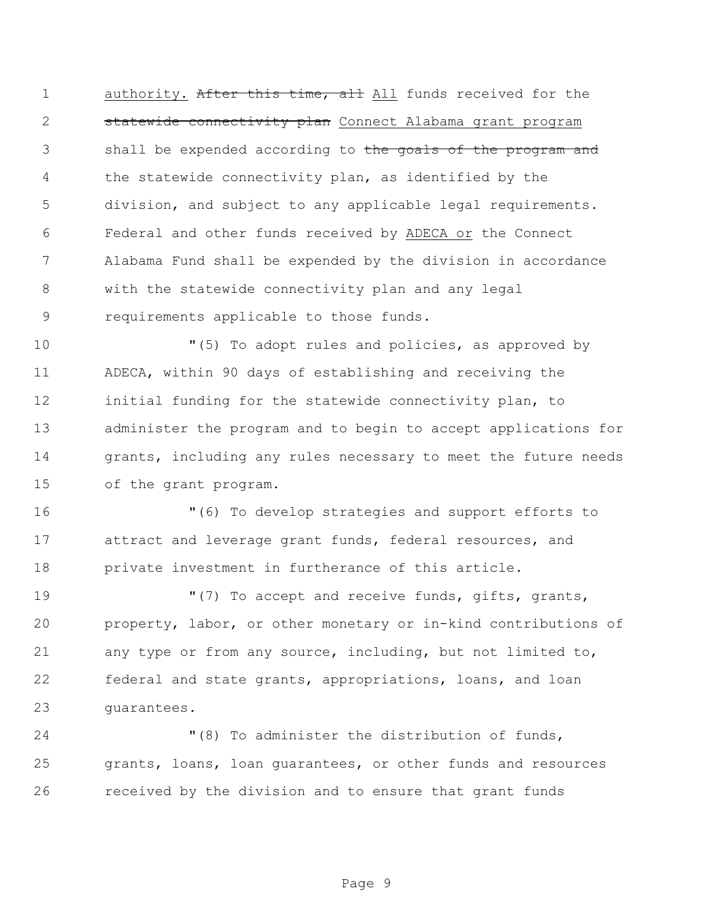1 authority. After this time, all All funds received for the statewide connectivity plan Connect Alabama grant program 3 shall be expended according to the goals of the program and the statewide connectivity plan, as identified by the division, and subject to any applicable legal requirements. Federal and other funds received by ADECA or the Connect Alabama Fund shall be expended by the division in accordance with the statewide connectivity plan and any legal requirements applicable to those funds.

 "(5) To adopt rules and policies, as approved by ADECA, within 90 days of establishing and receiving the initial funding for the statewide connectivity plan, to administer the program and to begin to accept applications for grants, including any rules necessary to meet the future needs of the grant program.

 "(6) To develop strategies and support efforts to attract and leverage grant funds, federal resources, and private investment in furtherance of this article.

 "(7) To accept and receive funds, gifts, grants, property, labor, or other monetary or in-kind contributions of any type or from any source, including, but not limited to, federal and state grants, appropriations, loans, and loan guarantees.

 "(8) To administer the distribution of funds, grants, loans, loan guarantees, or other funds and resources received by the division and to ensure that grant funds

Page 9